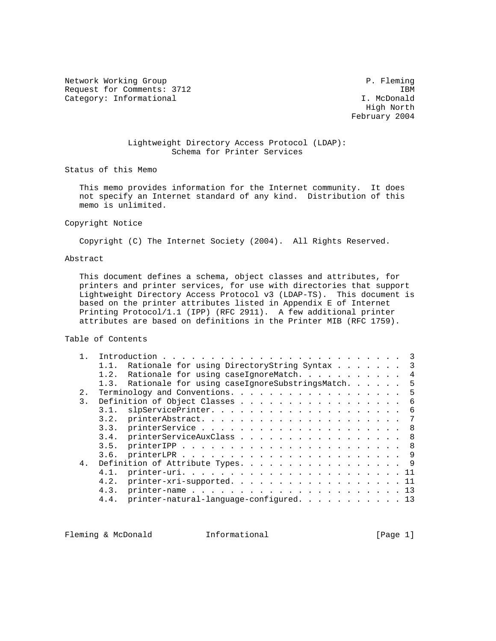Network Working Group **P. Fleming** Request for Comments: 3712 IBM<br>Category: Informational I. McDonald Category: Informational

 High North February 2004

## Lightweight Directory Access Protocol (LDAP): Schema for Printer Services

Status of this Memo

 This memo provides information for the Internet community. It does not specify an Internet standard of any kind. Distribution of this memo is unlimited.

## Copyright Notice

Copyright (C) The Internet Society (2004). All Rights Reserved.

# Abstract

 This document defines a schema, object classes and attributes, for printers and printer services, for use with directories that support Lightweight Directory Access Protocol v3 (LDAP-TS). This document is based on the printer attributes listed in Appendix E of Internet Printing Protocol/1.1 (IPP) (RFC 2911). A few additional printer attributes are based on definitions in the Printer MIB (RFC 1759).

Table of Contents

|  |       | Rationale for using DirectoryString Syntax 3<br>1.1.                                                                                     |
|--|-------|------------------------------------------------------------------------------------------------------------------------------------------|
|  |       | Rationale for using caseIgnoreMatch. 4<br>1.2.                                                                                           |
|  |       | 1.3. Rationale for using caseIgnoreSubstringsMatch.<br>- 5                                                                               |
|  |       | 5                                                                                                                                        |
|  | 3.    | Definition of Object Classes 6                                                                                                           |
|  |       | 3.1.                                                                                                                                     |
|  |       |                                                                                                                                          |
|  |       |                                                                                                                                          |
|  |       | 3.4. printerServiceAuxClass 8                                                                                                            |
|  |       | 3.5.                                                                                                                                     |
|  |       | 3.6.                                                                                                                                     |
|  | $4$ . | Definition of Attribute Types. 9                                                                                                         |
|  |       | $\text{printer-uri}. \quad \ldots \quad \ldots \quad \ldots \quad \ldots \quad \ldots \quad \ldots \quad \ldots \quad \text{11}$<br>4.1. |
|  |       | printer-xri-supported. 11<br>4.2.                                                                                                        |
|  |       | 4.3.                                                                                                                                     |
|  |       | printer-natural-language-configured. 13<br>4.4.                                                                                          |
|  |       |                                                                                                                                          |

Fleming & McDonald **Informational Informational** [Page 1]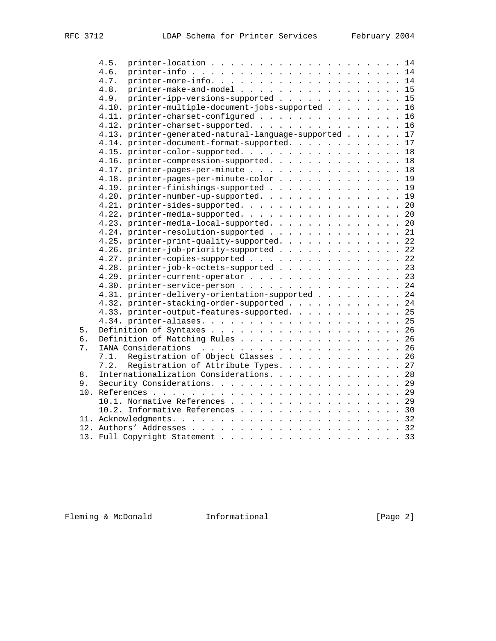|     | 4.5.                                                                                                                           |
|-----|--------------------------------------------------------------------------------------------------------------------------------|
|     | 4.6.<br>$\text{printer-info}$ 14                                                                                               |
|     | $\text{printer-more-info.}\quad\ldots\quad\ldots\quad\ldots\quad\ldots\quad\ldots\quad\ldots\quad\ldots\quad\text{14}$<br>4.7. |
|     | printer-make-and-model 15<br>4.8.                                                                                              |
|     | printer-ipp-versions-supported 15<br>4.9.                                                                                      |
|     | 4.10. printer-multiple-document-jobs-supported 16                                                                              |
|     | 4.11. printer-charset-configured 16                                                                                            |
|     | 4.12. printer-charset-supported. 16                                                                                            |
|     | 4.13. printer-generated-natural-language-supported 17                                                                          |
|     | 4.14. printer-document-format-supported. 17                                                                                    |
|     | 4.15. printer-color-supported. 18                                                                                              |
|     | 4.16. printer-compression-supported. 18                                                                                        |
|     | 4.17. printer-pages-per-minute 18                                                                                              |
|     | 4.18. printer-pages-per-minute-color 19                                                                                        |
|     | 4.19. printer-finishings-supported 19                                                                                          |
|     | 4.20. printer-number-up-supported. 19                                                                                          |
|     | 4.21. printer-sides-supported. 20                                                                                              |
|     | 4.22. printer-media-supported. 20                                                                                              |
|     | 4.23. printer-media-local-supported. 20                                                                                        |
|     | 4.24. printer-resolution-supported 21                                                                                          |
|     | 4.25. printer-print-quality-supported. 22                                                                                      |
|     | 4.26. printer-job-priority-supported 22                                                                                        |
|     | 4.27. printer-copies-supported 22                                                                                              |
|     | 4.28. printer-job-k-octets-supported 23                                                                                        |
|     | 4.29. printer-current-operator 23                                                                                              |
|     | 4.30. printer-service-person 24                                                                                                |
|     | 4.31. printer-delivery-orientation-supported 24                                                                                |
|     | 4.32. printer-stacking-order-supported 24                                                                                      |
|     | 4.33. printer-output-features-supported. 25                                                                                    |
|     |                                                                                                                                |
| 5.  |                                                                                                                                |
| б.  | Definition of Matching Rules 26                                                                                                |
| 7.  |                                                                                                                                |
|     | Registration of Object Classes 26<br>7.1.                                                                                      |
|     | 7.2. Registration of Attribute Types. 27                                                                                       |
| 8.  | Internationalization Considerations. 28                                                                                        |
| 9.  |                                                                                                                                |
| 10. |                                                                                                                                |
|     |                                                                                                                                |
|     | 10.1. Normative References 29<br>10.2. Informative References 30                                                               |
|     |                                                                                                                                |
|     |                                                                                                                                |
|     |                                                                                                                                |
|     | 13. Full Copyright Statement 33                                                                                                |

Fleming & McDonald Informational [Page 2]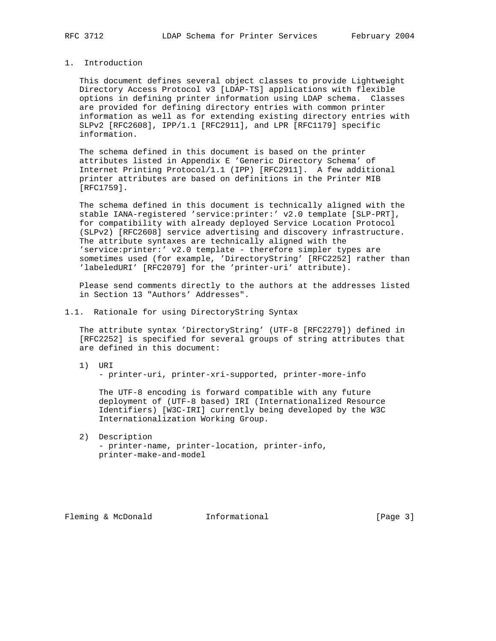## 1. Introduction

 This document defines several object classes to provide Lightweight Directory Access Protocol v3 [LDAP-TS] applications with flexible options in defining printer information using LDAP schema. Classes are provided for defining directory entries with common printer information as well as for extending existing directory entries with SLPv2 [RFC2608], IPP/1.1 [RFC2911], and LPR [RFC1179] specific information.

 The schema defined in this document is based on the printer attributes listed in Appendix E 'Generic Directory Schema' of Internet Printing Protocol/1.1 (IPP) [RFC2911]. A few additional printer attributes are based on definitions in the Printer MIB [RFC1759].

 The schema defined in this document is technically aligned with the stable IANA-registered 'service:printer:' v2.0 template [SLP-PRT], for compatibility with already deployed Service Location Protocol (SLPv2) [RFC2608] service advertising and discovery infrastructure. The attribute syntaxes are technically aligned with the 'service:printer:' v2.0 template - therefore simpler types are sometimes used (for example, 'DirectoryString' [RFC2252] rather than 'labeledURI' [RFC2079] for the 'printer-uri' attribute).

 Please send comments directly to the authors at the addresses listed in Section 13 "Authors' Addresses".

### 1.1. Rationale for using DirectoryString Syntax

 The attribute syntax 'DirectoryString' (UTF-8 [RFC2279]) defined in [RFC2252] is specified for several groups of string attributes that are defined in this document:

 1) URI - printer-uri, printer-xri-supported, printer-more-info

 The UTF-8 encoding is forward compatible with any future deployment of (UTF-8 based) IRI (Internationalized Resource Identifiers) [W3C-IRI] currently being developed by the W3C Internationalization Working Group.

 2) Description - printer-name, printer-location, printer-info, printer-make-and-model

Fleming & McDonald **Informational** [Page 3]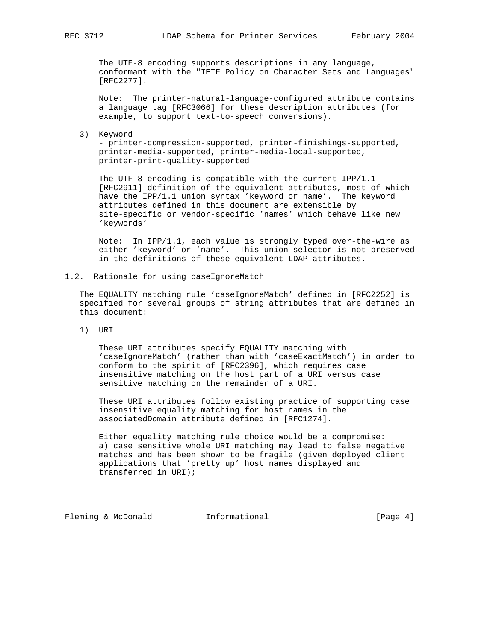The UTF-8 encoding supports descriptions in any language, conformant with the "IETF Policy on Character Sets and Languages" [RFC2277].

 Note: The printer-natural-language-configured attribute contains a language tag [RFC3066] for these description attributes (for example, to support text-to-speech conversions).

3) Keyword

 - printer-compression-supported, printer-finishings-supported, printer-media-supported, printer-media-local-supported, printer-print-quality-supported

 The UTF-8 encoding is compatible with the current IPP/1.1 [RFC2911] definition of the equivalent attributes, most of which have the IPP/1.1 union syntax 'keyword or name'. The keyword attributes defined in this document are extensible by site-specific or vendor-specific 'names' which behave like new 'keywords'

 Note: In IPP/1.1, each value is strongly typed over-the-wire as either 'keyword' or 'name'. This union selector is not preserved in the definitions of these equivalent LDAP attributes.

1.2. Rationale for using caseIgnoreMatch

 The EQUALITY matching rule 'caseIgnoreMatch' defined in [RFC2252] is specified for several groups of string attributes that are defined in this document:

1) URI

 These URI attributes specify EQUALITY matching with 'caseIgnoreMatch' (rather than with 'caseExactMatch') in order to conform to the spirit of [RFC2396], which requires case insensitive matching on the host part of a URI versus case sensitive matching on the remainder of a URI.

 These URI attributes follow existing practice of supporting case insensitive equality matching for host names in the associatedDomain attribute defined in [RFC1274].

 Either equality matching rule choice would be a compromise: a) case sensitive whole URI matching may lead to false negative matches and has been shown to be fragile (given deployed client applications that 'pretty up' host names displayed and transferred in URI);

Fleming & McDonald **Informational Informational Informational I**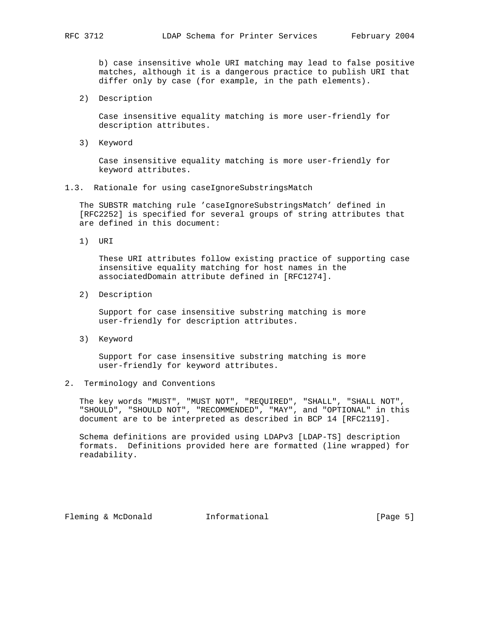b) case insensitive whole URI matching may lead to false positive matches, although it is a dangerous practice to publish URI that differ only by case (for example, in the path elements).

2) Description

 Case insensitive equality matching is more user-friendly for description attributes.

3) Keyword

 Case insensitive equality matching is more user-friendly for keyword attributes.

1.3. Rationale for using caseIgnoreSubstringsMatch

 The SUBSTR matching rule 'caseIgnoreSubstringsMatch' defined in [RFC2252] is specified for several groups of string attributes that are defined in this document:

1) URI

 These URI attributes follow existing practice of supporting case insensitive equality matching for host names in the associatedDomain attribute defined in [RFC1274].

2) Description

 Support for case insensitive substring matching is more user-friendly for description attributes.

3) Keyword

 Support for case insensitive substring matching is more user-friendly for keyword attributes.

2. Terminology and Conventions

 The key words "MUST", "MUST NOT", "REQUIRED", "SHALL", "SHALL NOT", "SHOULD", "SHOULD NOT", "RECOMMENDED", "MAY", and "OPTIONAL" in this document are to be interpreted as described in BCP 14 [RFC2119].

 Schema definitions are provided using LDAPv3 [LDAP-TS] description formats. Definitions provided here are formatted (line wrapped) for readability.

Fleming & McDonald **Informational** [Page 5]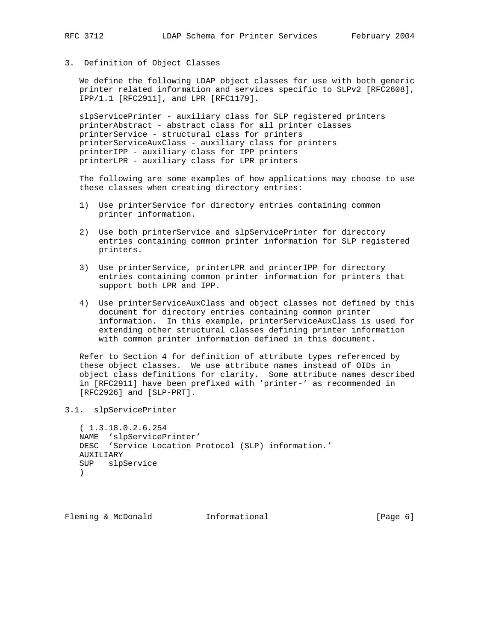3. Definition of Object Classes

 We define the following LDAP object classes for use with both generic printer related information and services specific to SLPv2 [RFC2608], IPP/1.1 [RFC2911], and LPR [RFC1179].

 slpServicePrinter - auxiliary class for SLP registered printers printerAbstract - abstract class for all printer classes printerService - structural class for printers printerServiceAuxClass - auxiliary class for printers printerIPP - auxiliary class for IPP printers printerLPR - auxiliary class for LPR printers

 The following are some examples of how applications may choose to use these classes when creating directory entries:

- 1) Use printerService for directory entries containing common printer information.
- 2) Use both printerService and slpServicePrinter for directory entries containing common printer information for SLP registered printers.
- 3) Use printerService, printerLPR and printerIPP for directory entries containing common printer information for printers that support both LPR and IPP.
- 4) Use printerServiceAuxClass and object classes not defined by this document for directory entries containing common printer information. In this example, printerServiceAuxClass is used for extending other structural classes defining printer information with common printer information defined in this document.

 Refer to Section 4 for definition of attribute types referenced by these object classes. We use attribute names instead of OIDs in object class definitions for clarity. Some attribute names described in [RFC2911] have been prefixed with 'printer-' as recommended in [RFC2926] and [SLP-PRT].

3.1. slpServicePrinter

```
 ( 1.3.18.0.2.6.254
 NAME 'slpServicePrinter'
 DESC 'Service Location Protocol (SLP) information.'
 AUXILIARY
 SUP slpService
 )
```
Fleming & McDonald **Informational Informational** [Page 6]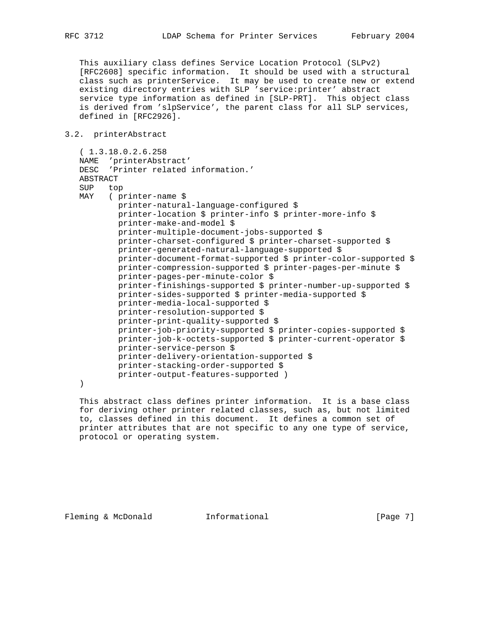This auxiliary class defines Service Location Protocol (SLPv2) [RFC2608] specific information. It should be used with a structural class such as printerService. It may be used to create new or extend existing directory entries with SLP 'service:printer' abstract service type information as defined in [SLP-PRT]. This object class is derived from 'slpService', the parent class for all SLP services, defined in [RFC2926].

```
3.2. printerAbstract
```

```
 ( 1.3.18.0.2.6.258
 NAME 'printerAbstract'
 DESC 'Printer related information.'
 ABSTRACT
 SUP top
 MAY ( printer-name $
         printer-natural-language-configured $
         printer-location $ printer-info $ printer-more-info $
         printer-make-and-model $
         printer-multiple-document-jobs-supported $
         printer-charset-configured $ printer-charset-supported $
         printer-generated-natural-language-supported $
         printer-document-format-supported $ printer-color-supported $
         printer-compression-supported $ printer-pages-per-minute $
         printer-pages-per-minute-color $
         printer-finishings-supported $ printer-number-up-supported $
         printer-sides-supported $ printer-media-supported $
         printer-media-local-supported $
         printer-resolution-supported $
         printer-print-quality-supported $
         printer-job-priority-supported $ printer-copies-supported $
         printer-job-k-octets-supported $ printer-current-operator $
         printer-service-person $
         printer-delivery-orientation-supported $
         printer-stacking-order-supported $
         printer-output-features-supported )
```
)

 This abstract class defines printer information. It is a base class for deriving other printer related classes, such as, but not limited to, classes defined in this document. It defines a common set of printer attributes that are not specific to any one type of service, protocol or operating system.

Fleming & McDonald **Informational Informational** [Page 7]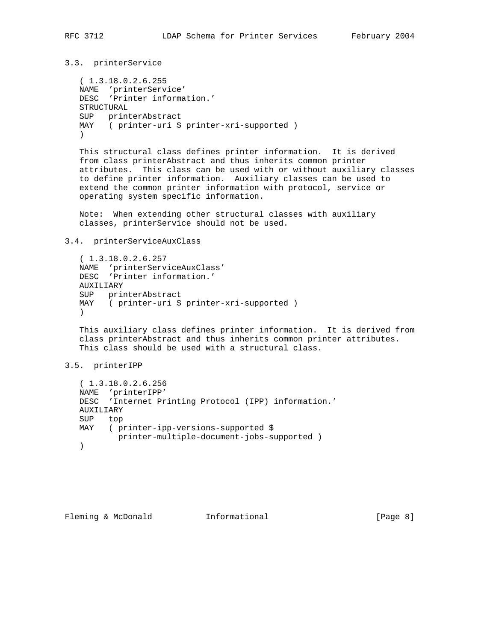3.3. printerService

 ( 1.3.18.0.2.6.255 NAME 'printerService' DESC 'Printer information.' STRUCTURAL SUP printerAbstract MAY ( printer-uri \$ printer-xri-supported )  $\rightarrow$ 

 This structural class defines printer information. It is derived from class printerAbstract and thus inherits common printer attributes. This class can be used with or without auxiliary classes to define printer information. Auxiliary classes can be used to extend the common printer information with protocol, service or operating system specific information.

 Note: When extending other structural classes with auxiliary classes, printerService should not be used.

#### 3.4. printerServiceAuxClass

 ( 1.3.18.0.2.6.257 NAME 'printerServiceAuxClass' DESC 'Printer information.' AUXILIARY SUP printerAbstract MAY ( printer-uri \$ printer-xri-supported )  $)$ 

 This auxiliary class defines printer information. It is derived from class printerAbstract and thus inherits common printer attributes. This class should be used with a structural class.

## 3.5. printerIPP

 ( 1.3.18.0.2.6.256 NAME 'printerIPP' DESC 'Internet Printing Protocol (IPP) information.' AUXILIARY SUP top MAY ( printer-ipp-versions-supported \$ printer-multiple-document-jobs-supported ) )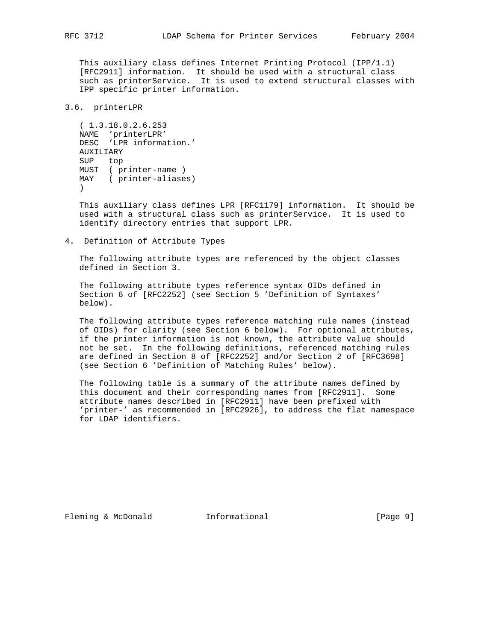This auxiliary class defines Internet Printing Protocol (IPP/1.1) [RFC2911] information. It should be used with a structural class such as printerService. It is used to extend structural classes with IPP specific printer information.

## 3.6. printerLPR

```
 ( 1.3.18.0.2.6.253
   NAME 'printerLPR'
   DESC 'LPR information.'
   AUXILIARY
   SUP top
   MUST ( printer-name )
   MAY ( printer-aliases)
\qquad \qquad
```
 This auxiliary class defines LPR [RFC1179] information. It should be used with a structural class such as printerService. It is used to identify directory entries that support LPR.

4. Definition of Attribute Types

 The following attribute types are referenced by the object classes defined in Section 3.

 The following attribute types reference syntax OIDs defined in Section 6 of [RFC2252] (see Section 5 'Definition of Syntaxes' below).

 The following attribute types reference matching rule names (instead of OIDs) for clarity (see Section 6 below). For optional attributes, if the printer information is not known, the attribute value should not be set. In the following definitions, referenced matching rules are defined in Section 8 of [RFC2252] and/or Section 2 of [RFC3698] (see Section 6 'Definition of Matching Rules' below).

 The following table is a summary of the attribute names defined by this document and their corresponding names from [RFC2911]. Some attribute names described in [RFC2911] have been prefixed with 'printer-' as recommended in [RFC2926], to address the flat namespace for LDAP identifiers.

Fleming & McDonald **Informational Informational** [Page 9]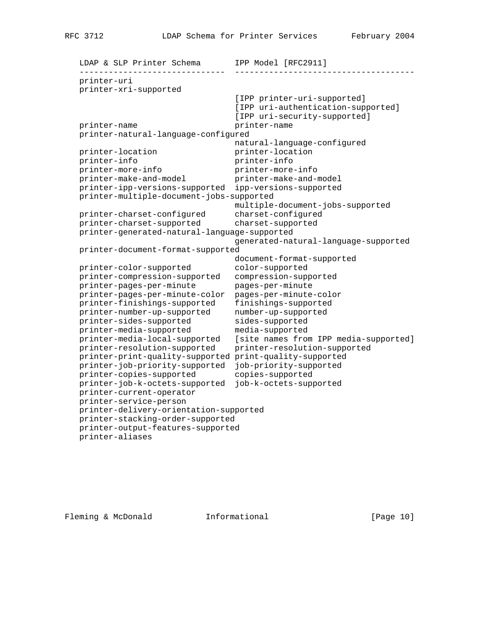LDAP & SLP Printer Schema IPP Model [RFC2911] ------------------------------ ------------------------------------ printer-uri printer-xri-supported [IPP printer-uri-supported] [IPP uri-authentication-supported] [IPP uri-security-supported] printer-name printer-name printer-natural-language-configured natural-language-configured printer-location printer-location printer-info printer-info printer-more-info printer-more-info printer-make-and-model printer-make-and-model printer-ipp-versions-supported ipp-versions-supported printer-multiple-document-jobs-supported multiple-document-jobs-supported printer-charset-configured charset-configured printer-charset-supported charset-supported printer-generated-natural-language-supported generated-natural-language-supported printer-document-format-supported document-format-supported printer-color-supported color-supported printer-compression-supported compression-supported printer-pages-per-minute pages-per-minute printer-pages-per-minute-color pages-per-minute-color printer-finishings-supported finishings-supported printer-number-up-supported number-up-supported printer-sides-supported sides-supported printer-media-supported media-supported printer-media-local-supported [site names from IPP media-supported] printer-resolution-supported printer-resolution-supported printer-print-quality-supported print-quality-supported printer-job-priority-supported job-priority-supported printer-copies-supported copies-supported printer-job-k-octets-supported job-k-octets-supported printer-current-operator printer-service-person printer-delivery-orientation-supported printer-stacking-order-supported printer-output-features-supported printer-aliases

Fleming & McDonald **Informational** [Page 10]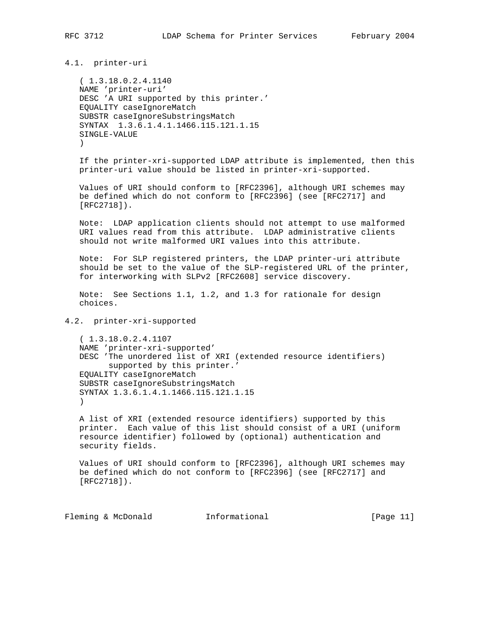4.1. printer-uri

 ( 1.3.18.0.2.4.1140 NAME 'printer-uri' DESC 'A URI supported by this printer.' EQUALITY caseIgnoreMatch SUBSTR caseIgnoreSubstringsMatch SYNTAX 1.3.6.1.4.1.1466.115.121.1.15 SINGLE-VALUE  $\lambda$ 

 If the printer-xri-supported LDAP attribute is implemented, then this printer-uri value should be listed in printer-xri-supported.

 Values of URI should conform to [RFC2396], although URI schemes may be defined which do not conform to [RFC2396] (see [RFC2717] and [RFC2718]).

 Note: LDAP application clients should not attempt to use malformed URI values read from this attribute. LDAP administrative clients should not write malformed URI values into this attribute.

 Note: For SLP registered printers, the LDAP printer-uri attribute should be set to the value of the SLP-registered URL of the printer, for interworking with SLPv2 [RFC2608] service discovery.

 Note: See Sections 1.1, 1.2, and 1.3 for rationale for design choices.

## 4.2. printer-xri-supported

 ( 1.3.18.0.2.4.1107 NAME 'printer-xri-supported' DESC 'The unordered list of XRI (extended resource identifiers) supported by this printer.' EQUALITY caseIgnoreMatch SUBSTR caseIgnoreSubstringsMatch SYNTAX 1.3.6.1.4.1.1466.115.121.1.15  $\qquad \qquad$ 

 A list of XRI (extended resource identifiers) supported by this printer. Each value of this list should consist of a URI (uniform resource identifier) followed by (optional) authentication and security fields.

 Values of URI should conform to [RFC2396], although URI schemes may be defined which do not conform to [RFC2396] (see [RFC2717] and [RFC2718]).

Fleming & McDonald **Informational** [Page 11]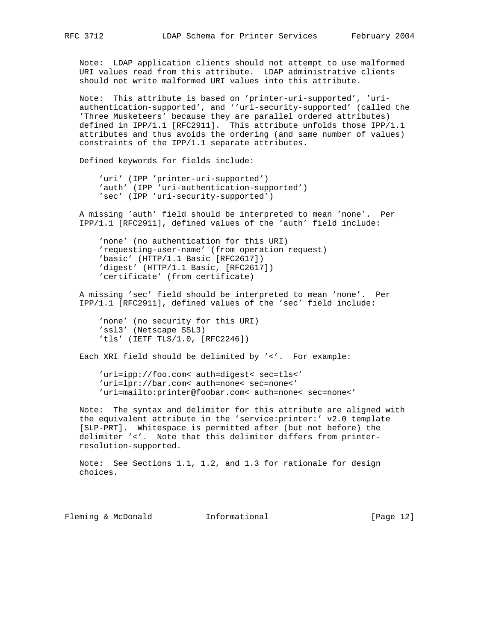Note: LDAP application clients should not attempt to use malformed URI values read from this attribute. LDAP administrative clients should not write malformed URI values into this attribute.

 Note: This attribute is based on 'printer-uri-supported', 'uri authentication-supported', and ''uri-security-supported' (called the 'Three Musketeers' because they are parallel ordered attributes) defined in IPP/1.1 [RFC2911]. This attribute unfolds those IPP/1.1 attributes and thus avoids the ordering (and same number of values) constraints of the IPP/1.1 separate attributes.

Defined keywords for fields include:

 'uri' (IPP 'printer-uri-supported') 'auth' (IPP 'uri-authentication-supported') 'sec' (IPP 'uri-security-supported')

 A missing 'auth' field should be interpreted to mean 'none'. Per IPP/1.1 [RFC2911], defined values of the 'auth' field include:

 'none' (no authentication for this URI) 'requesting-user-name' (from operation request) 'basic' (HTTP/1.1 Basic [RFC2617]) 'digest' (HTTP/1.1 Basic, [RFC2617]) 'certificate' (from certificate)

 A missing 'sec' field should be interpreted to mean 'none'. Per IPP/1.1 [RFC2911], defined values of the 'sec' field include:

 'none' (no security for this URI) 'ssl3' (Netscape SSL3) 'tls' (IETF TLS/1.0, [RFC2246])

Each XRI field should be delimited by '<'. For example:

 'uri=ipp://foo.com< auth=digest< sec=tls<' 'uri=lpr://bar.com< auth=none< sec=none<' 'uri=mailto:printer@foobar.com< auth=none< sec=none<'

 Note: The syntax and delimiter for this attribute are aligned with the equivalent attribute in the 'service:printer:' v2.0 template [SLP-PRT]. Whitespace is permitted after (but not before) the delimiter '<'. Note that this delimiter differs from printer resolution-supported.

 Note: See Sections 1.1, 1.2, and 1.3 for rationale for design choices.

Fleming & McDonald **Informational** [Page 12]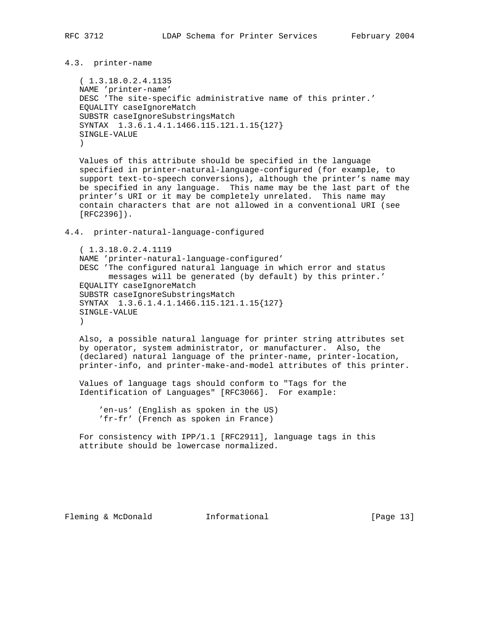# 4.3. printer-name

 ( 1.3.18.0.2.4.1135 NAME 'printer-name' DESC 'The site-specific administrative name of this printer.' EQUALITY caseIgnoreMatch SUBSTR caseIgnoreSubstringsMatch SYNTAX 1.3.6.1.4.1.1466.115.121.1.15{127} SINGLE-VALUE  $\lambda$ 

 Values of this attribute should be specified in the language specified in printer-natural-language-configured (for example, to support text-to-speech conversions), although the printer's name may be specified in any language. This name may be the last part of the printer's URI or it may be completely unrelated. This name may contain characters that are not allowed in a conventional URI (see [RFC2396]).

4.4. printer-natural-language-configured

 ( 1.3.18.0.2.4.1119 NAME 'printer-natural-language-configured' DESC 'The configured natural language in which error and status messages will be generated (by default) by this printer.' EQUALITY caseIgnoreMatch SUBSTR caseIgnoreSubstringsMatch SYNTAX 1.3.6.1.4.1.1466.115.121.1.15{127} SINGLE-VALUE  $\rightarrow$ 

 Also, a possible natural language for printer string attributes set by operator, system administrator, or manufacturer. Also, the (declared) natural language of the printer-name, printer-location, printer-info, and printer-make-and-model attributes of this printer.

 Values of language tags should conform to "Tags for the Identification of Languages" [RFC3066]. For example:

 'en-us' (English as spoken in the US) 'fr-fr' (French as spoken in France)

 For consistency with IPP/1.1 [RFC2911], language tags in this attribute should be lowercase normalized.

Fleming & McDonald **Informational** [Page 13]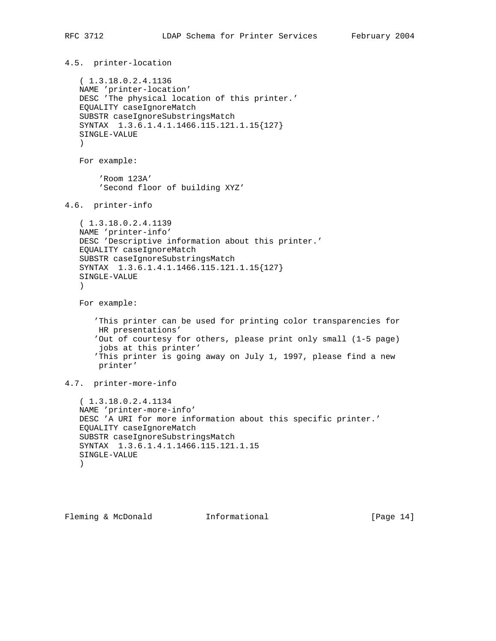4.5. printer-location ( 1.3.18.0.2.4.1136 NAME 'printer-location' DESC 'The physical location of this printer.' EQUALITY caseIgnoreMatch SUBSTR caseIgnoreSubstringsMatch SYNTAX 1.3.6.1.4.1.1466.115.121.1.15{127} SINGLE-VALUE ) For example: 'Room 123A' 'Second floor of building XYZ' 4.6. printer-info ( 1.3.18.0.2.4.1139 NAME 'printer-info' DESC 'Descriptive information about this printer.' EQUALITY caseIgnoreMatch SUBSTR caseIgnoreSubstringsMatch SYNTAX 1.3.6.1.4.1.1466.115.121.1.15{127} SINGLE-VALUE ) For example: 'This printer can be used for printing color transparencies for HR presentations' 'Out of courtesy for others, please print only small (1-5 page) jobs at this printer' 'This printer is going away on July 1, 1997, please find a new printer' 4.7. printer-more-info ( 1.3.18.0.2.4.1134 NAME 'printer-more-info' DESC 'A URI for more information about this specific printer.' EQUALITY caseIgnoreMatch SUBSTR caseIgnoreSubstringsMatch SYNTAX 1.3.6.1.4.1.1466.115.121.1.15 SINGLE-VALUE  $)$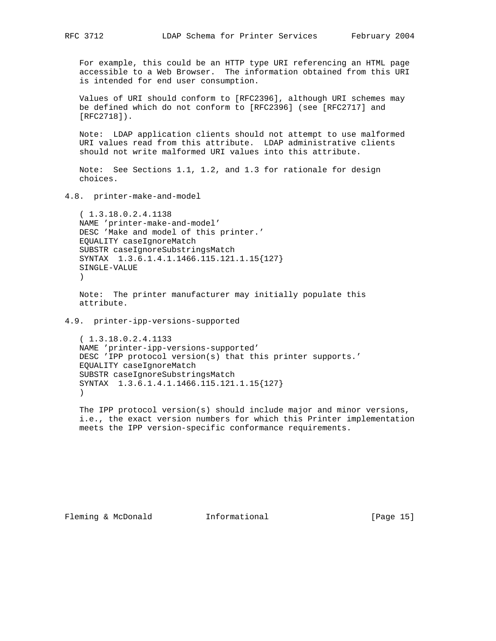For example, this could be an HTTP type URI referencing an HTML page accessible to a Web Browser. The information obtained from this URI is intended for end user consumption.

 Values of URI should conform to [RFC2396], although URI schemes may be defined which do not conform to [RFC2396] (see [RFC2717] and [RFC2718]).

 Note: LDAP application clients should not attempt to use malformed URI values read from this attribute. LDAP administrative clients should not write malformed URI values into this attribute.

 Note: See Sections 1.1, 1.2, and 1.3 for rationale for design choices.

4.8. printer-make-and-model

 ( 1.3.18.0.2.4.1138 NAME 'printer-make-and-model' DESC 'Make and model of this printer.' EQUALITY caseIgnoreMatch SUBSTR caseIgnoreSubstringsMatch SYNTAX 1.3.6.1.4.1.1466.115.121.1.15{127} SINGLE-VALUE )

 Note: The printer manufacturer may initially populate this attribute.

4.9. printer-ipp-versions-supported

 ( 1.3.18.0.2.4.1133 NAME 'printer-ipp-versions-supported' DESC 'IPP protocol version(s) that this printer supports.' EQUALITY caseIgnoreMatch SUBSTR caseIgnoreSubstringsMatch SYNTAX 1.3.6.1.4.1.1466.115.121.1.15{127} )

 The IPP protocol version(s) should include major and minor versions, i.e., the exact version numbers for which this Printer implementation meets the IPP version-specific conformance requirements.

Fleming & McDonald **Informational** [Page 15]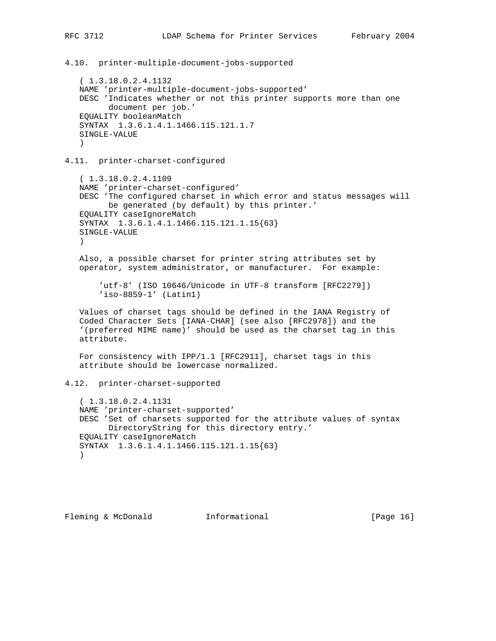4.10. printer-multiple-document-jobs-supported

 ( 1.3.18.0.2.4.1132 NAME 'printer-multiple-document-jobs-supported' DESC 'Indicates whether or not this printer supports more than one document per job.' EQUALITY booleanMatch SYNTAX 1.3.6.1.4.1.1466.115.121.1.7 SINGLE-VALUE  $\lambda$ 

4.11. printer-charset-configured

 ( 1.3.18.0.2.4.1109 NAME 'printer-charset-configured' DESC 'The configured charset in which error and status messages will be generated (by default) by this printer.' EQUALITY caseIgnoreMatch SYNTAX 1.3.6.1.4.1.1466.115.121.1.15{63} SINGLE-VALUE )

 Also, a possible charset for printer string attributes set by operator, system administrator, or manufacturer. For example:

 'utf-8' (ISO 10646/Unicode in UTF-8 transform [RFC2279]) 'iso-8859-1' (Latin1)

 Values of charset tags should be defined in the IANA Registry of Coded Character Sets [IANA-CHAR] (see also [RFC2978]) and the '(preferred MIME name)' should be used as the charset tag in this attribute.

 For consistency with IPP/1.1 [RFC2911], charset tags in this attribute should be lowercase normalized.

4.12. printer-charset-supported

 ( 1.3.18.0.2.4.1131 NAME 'printer-charset-supported' DESC 'Set of charsets supported for the attribute values of syntax DirectoryString for this directory entry.' EQUALITY caseIgnoreMatch SYNTAX 1.3.6.1.4.1.1466.115.121.1.15{63}  $\lambda$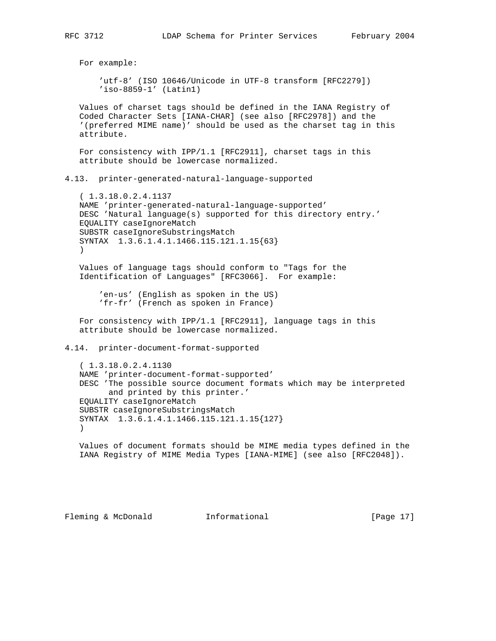For example: 'utf-8' (ISO 10646/Unicode in UTF-8 transform [RFC2279]) 'iso-8859-1' (Latin1) Values of charset tags should be defined in the IANA Registry of Coded Character Sets [IANA-CHAR] (see also [RFC2978]) and the '(preferred MIME name)' should be used as the charset tag in this attribute. For consistency with IPP/1.1 [RFC2911], charset tags in this attribute should be lowercase normalized. 4.13. printer-generated-natural-language-supported ( 1.3.18.0.2.4.1137 NAME 'printer-generated-natural-language-supported' DESC 'Natural language(s) supported for this directory entry.' EQUALITY caseIgnoreMatch SUBSTR caseIgnoreSubstringsMatch SYNTAX 1.3.6.1.4.1.1466.115.121.1.15{63}  $)$  Values of language tags should conform to "Tags for the Identification of Languages" [RFC3066]. For example: 'en-us' (English as spoken in the US) 'fr-fr' (French as spoken in France) For consistency with IPP/1.1 [RFC2911], language tags in this attribute should be lowercase normalized. 4.14. printer-document-format-supported ( 1.3.18.0.2.4.1130 NAME 'printer-document-format-supported' DESC 'The possible source document formats which may be interpreted and printed by this printer.' EQUALITY caseIgnoreMatch SUBSTR caseIgnoreSubstringsMatch SYNTAX 1.3.6.1.4.1.1466.115.121.1.15{127} ) Values of document formats should be MIME media types defined in the IANA Registry of MIME Media Types [IANA-MIME] (see also [RFC2048]).

Fleming & McDonald **Informational** [Page 17]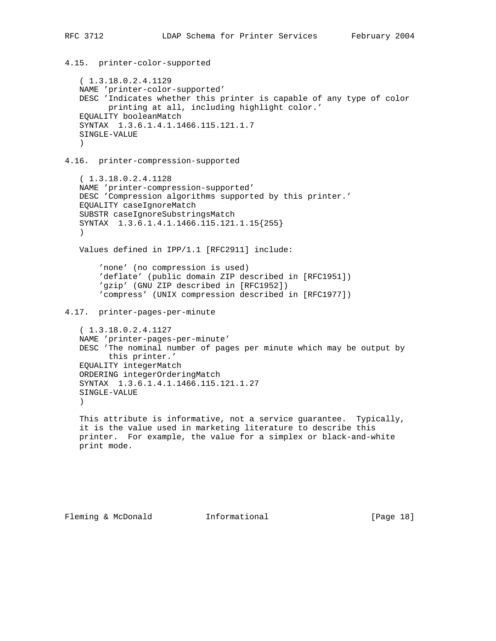4.15. printer-color-supported ( 1.3.18.0.2.4.1129 NAME 'printer-color-supported' DESC 'Indicates whether this printer is capable of any type of color printing at all, including highlight color.' EQUALITY booleanMatch SYNTAX 1.3.6.1.4.1.1466.115.121.1.7 SINGLE-VALUE  $\lambda$ 4.16. printer-compression-supported ( 1.3.18.0.2.4.1128 NAME 'printer-compression-supported' DESC 'Compression algorithms supported by this printer.' EQUALITY caseIgnoreMatch SUBSTR caseIgnoreSubstringsMatch SYNTAX 1.3.6.1.4.1.1466.115.121.1.15{255} ) Values defined in IPP/1.1 [RFC2911] include: 'none' (no compression is used) 'deflate' (public domain ZIP described in [RFC1951]) 'gzip' (GNU ZIP described in [RFC1952]) 'compress' (UNIX compression described in [RFC1977]) 4.17. printer-pages-per-minute ( 1.3.18.0.2.4.1127 NAME 'printer-pages-per-minute' DESC 'The nominal number of pages per minute which may be output by this printer.' EQUALITY integerMatch ORDERING integerOrderingMatch SYNTAX 1.3.6.1.4.1.1466.115.121.1.27 SINGLE-VALUE  $\lambda$  This attribute is informative, not a service guarantee. Typically, it is the value used in marketing literature to describe this printer. For example, the value for a simplex or black-and-white print mode.

Fleming & McDonald **Informational** [Page 18]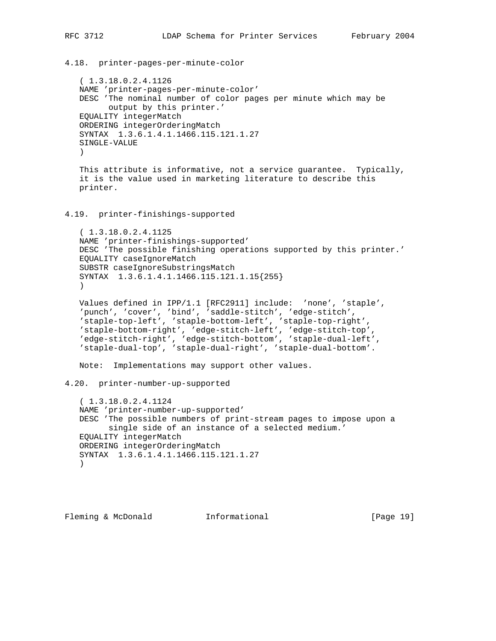```
4.18. printer-pages-per-minute-color
    ( 1.3.18.0.2.4.1126
   NAME 'printer-pages-per-minute-color'
   DESC 'The nominal number of color pages per minute which may be
         output by this printer.'
    EQUALITY integerMatch
    ORDERING integerOrderingMatch
    SYNTAX 1.3.6.1.4.1.1466.115.121.1.27
    SINGLE-VALUE
    )
   This attribute is informative, not a service guarantee. Typically,
    it is the value used in marketing literature to describe this
   printer.
4.19. printer-finishings-supported
    ( 1.3.18.0.2.4.1125
   NAME 'printer-finishings-supported'
   DESC 'The possible finishing operations supported by this printer.'
   EQUALITY caseIgnoreMatch
   SUBSTR caseIgnoreSubstringsMatch
    SYNTAX 1.3.6.1.4.1.1466.115.121.1.15{255}
\overline{\phantom{a}} Values defined in IPP/1.1 [RFC2911] include: 'none', 'staple',
 'punch', 'cover', 'bind', 'saddle-stitch', 'edge-stitch',
 'staple-top-left', 'staple-bottom-left', 'staple-top-right',
    'staple-bottom-right', 'edge-stitch-left', 'edge-stitch-top',
    'edge-stitch-right', 'edge-stitch-bottom', 'staple-dual-left',
    'staple-dual-top', 'staple-dual-right', 'staple-dual-bottom'.
   Note: Implementations may support other values.
4.20. printer-number-up-supported
    ( 1.3.18.0.2.4.1124
   NAME 'printer-number-up-supported'
   DESC 'The possible numbers of print-stream pages to impose upon a
         single side of an instance of a selected medium.'
   EQUALITY integerMatch
    ORDERING integerOrderingMatch
    SYNTAX 1.3.6.1.4.1.1466.115.121.1.27
   )Fleming & McDonald Informational [Page 19]
```
RFC 3712 LDAP Schema for Printer Services February 2004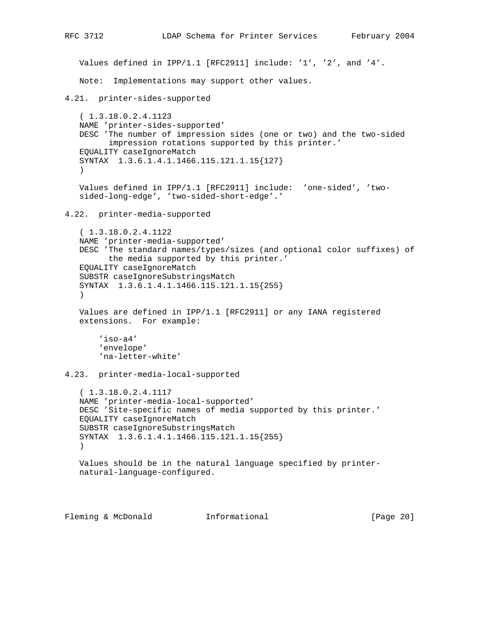```
RFC 3712 LDAP Schema for Printer Services February 2004
   Values defined in IPP/1.1 [RFC2911] include: '1', '2', and '4'.
   Note: Implementations may support other values.
4.21. printer-sides-supported
    ( 1.3.18.0.2.4.1123
   NAME 'printer-sides-supported'
   DESC 'The number of impression sides (one or two) and the two-sided
         impression rotations supported by this printer.'
    EQUALITY caseIgnoreMatch
    SYNTAX 1.3.6.1.4.1.1466.115.121.1.15{127}
    )
   Values defined in IPP/1.1 [RFC2911] include: 'one-sided', 'two-
    sided-long-edge', 'two-sided-short-edge'.'
4.22. printer-media-supported
    ( 1.3.18.0.2.4.1122
    NAME 'printer-media-supported'
    DESC 'The standard names/types/sizes (and optional color suffixes) of
         the media supported by this printer.'
    EQUALITY caseIgnoreMatch
    SUBSTR caseIgnoreSubstringsMatch
    SYNTAX 1.3.6.1.4.1.1466.115.121.1.15{255}
   \left( \right) Values are defined in IPP/1.1 [RFC2911] or any IANA registered
    extensions. For example:
        'iso-a4'
        'envelope'
        'na-letter-white'
4.23. printer-media-local-supported
    ( 1.3.18.0.2.4.1117
    NAME 'printer-media-local-supported'
   DESC 'Site-specific names of media supported by this printer.'
    EQUALITY caseIgnoreMatch
    SUBSTR caseIgnoreSubstringsMatch
   SYNTAX 1.3.6.1.4.1.1466.115.121.1.15{255}
    )
   Values should be in the natural language specified by printer-
   natural-language-configured.
```
Fleming & McDonald **Informational** [Page 20]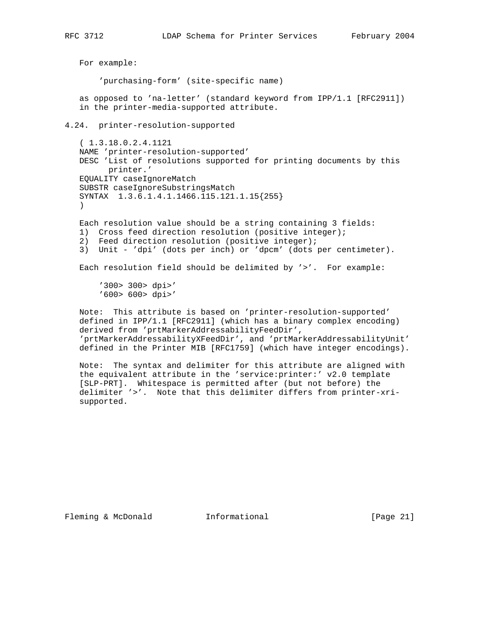For example: 'purchasing-form' (site-specific name) as opposed to 'na-letter' (standard keyword from IPP/1.1 [RFC2911]) in the printer-media-supported attribute. 4.24. printer-resolution-supported ( 1.3.18.0.2.4.1121 NAME 'printer-resolution-supported' DESC 'List of resolutions supported for printing documents by this printer.' EQUALITY caseIgnoreMatch SUBSTR caseIgnoreSubstringsMatch SYNTAX 1.3.6.1.4.1.1466.115.121.1.15{255} ) Each resolution value should be a string containing 3 fields: 1) Cross feed direction resolution (positive integer); 2) Feed direction resolution (positive integer); 3) Unit - 'dpi' (dots per inch) or 'dpcm' (dots per centimeter). Each resolution field should be delimited by '>'. For example: '300> 300> dpi>' '600> 600> dpi>' Note: This attribute is based on 'printer-resolution-supported' defined in IPP/1.1 [RFC2911] (which has a binary complex encoding) derived from 'prtMarkerAddressabilityFeedDir', 'prtMarkerAddressabilityXFeedDir', and 'prtMarkerAddressabilityUnit' defined in the Printer MIB [RFC1759] (which have integer encodings). Note: The syntax and delimiter for this attribute are aligned with the equivalent attribute in the 'service:printer:' v2.0 template [SLP-PRT]. Whitespace is permitted after (but not before) the

Fleming & McDonald **Informational** [Page 21]

supported.

delimiter '>'. Note that this delimiter differs from printer-xri-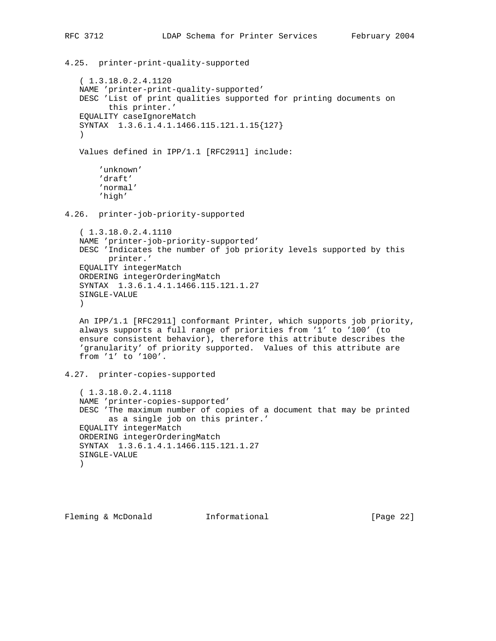4.25. printer-print-quality-supported ( 1.3.18.0.2.4.1120

 NAME 'printer-print-quality-supported' DESC 'List of print qualities supported for printing documents on this printer.' EQUALITY caseIgnoreMatch SYNTAX 1.3.6.1.4.1.1466.115.121.1.15{127}  $\lambda$ 

Values defined in IPP/1.1 [RFC2911] include:

```
 'unknown'
 'draft'
 'normal'
 'high'
```
4.26. printer-job-priority-supported

```
 ( 1.3.18.0.2.4.1110
 NAME 'printer-job-priority-supported'
 DESC 'Indicates the number of job priority levels supported by this
       printer.'
 EQUALITY integerMatch
 ORDERING integerOrderingMatch
 SYNTAX 1.3.6.1.4.1.1466.115.121.1.27
 SINGLE-VALUE
)
```
 An IPP/1.1 [RFC2911] conformant Printer, which supports job priority, always supports a full range of priorities from '1' to '100' (to ensure consistent behavior), therefore this attribute describes the 'granularity' of priority supported. Values of this attribute are from '1' to '100'.

4.27. printer-copies-supported

 ( 1.3.18.0.2.4.1118 NAME 'printer-copies-supported' DESC 'The maximum number of copies of a document that may be printed as a single job on this printer.' EQUALITY integerMatch ORDERING integerOrderingMatch SYNTAX 1.3.6.1.4.1.1466.115.121.1.27 SINGLE-VALUE  $)$ 

Fleming & McDonald **Informational Informational** [Page 22]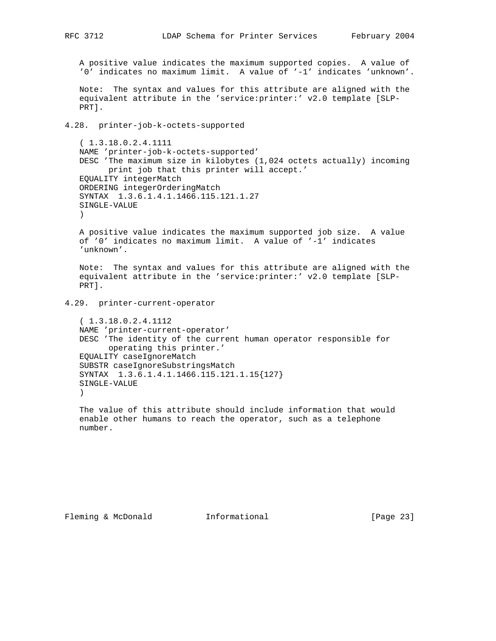A positive value indicates the maximum supported copies. A value of '0' indicates no maximum limit. A value of '-1' indicates 'unknown'.

 Note: The syntax and values for this attribute are aligned with the equivalent attribute in the 'service:printer:' v2.0 template [SLP- PRT].

4.28. printer-job-k-octets-supported

 ( 1.3.18.0.2.4.1111 NAME 'printer-job-k-octets-supported' DESC 'The maximum size in kilobytes (1,024 octets actually) incoming print job that this printer will accept.' EQUALITY integerMatch ORDERING integerOrderingMatch SYNTAX 1.3.6.1.4.1.1466.115.121.1.27 SINGLE-VALUE  $\lambda$ 

 A positive value indicates the maximum supported job size. A value of '0' indicates no maximum limit. A value of '-1' indicates 'unknown'.

 Note: The syntax and values for this attribute are aligned with the equivalent attribute in the 'service:printer:' v2.0 template [SLP- PRT].

4.29. printer-current-operator

```
 ( 1.3.18.0.2.4.1112
 NAME 'printer-current-operator'
 DESC 'The identity of the current human operator responsible for
      operating this printer.'
 EQUALITY caseIgnoreMatch
 SUBSTR caseIgnoreSubstringsMatch
 SYNTAX 1.3.6.1.4.1.1466.115.121.1.15{127}
 SINGLE-VALUE
 )
```
 The value of this attribute should include information that would enable other humans to reach the operator, such as a telephone number.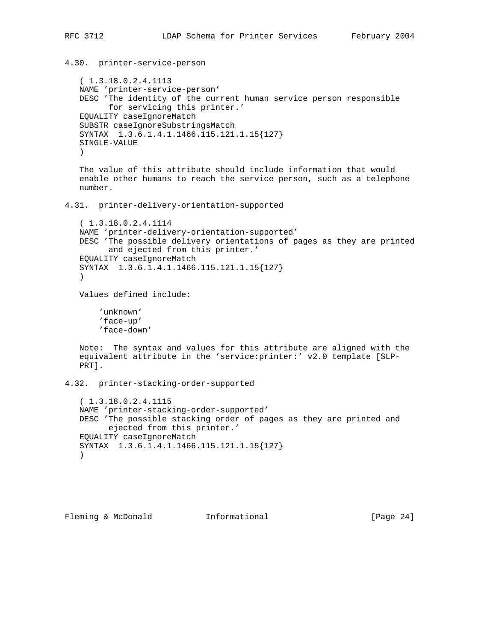```
4.30. printer-service-person
    ( 1.3.18.0.2.4.1113
   NAME 'printer-service-person'
   DESC 'The identity of the current human service person responsible
          for servicing this printer.'
   EQUALITY caseIgnoreMatch
    SUBSTR caseIgnoreSubstringsMatch
    SYNTAX 1.3.6.1.4.1.1466.115.121.1.15{127}
    SINGLE-VALUE
    )
    The value of this attribute should include information that would
    enable other humans to reach the service person, such as a telephone
   number.
4.31. printer-delivery-orientation-supported
    ( 1.3.18.0.2.4.1114
   NAME 'printer-delivery-orientation-supported'
   DESC 'The possible delivery orientations of pages as they are printed
         and ejected from this printer.'
   EQUALITY caseIgnoreMatch
   SYNTAX 1.3.6.1.4.1.1466.115.121.1.15{127}
   ) Values defined include:
        'unknown'
        'face-up'
        'face-down'
   Note: The syntax and values for this attribute are aligned with the
    equivalent attribute in the 'service:printer:' v2.0 template [SLP-
   PRT].
4.32. printer-stacking-order-supported
    ( 1.3.18.0.2.4.1115
   NAME 'printer-stacking-order-supported'
   DESC 'The possible stacking order of pages as they are printed and
         ejected from this printer.'
   EQUALITY caseIgnoreMatch
    SYNTAX 1.3.6.1.4.1.1466.115.121.1.15{127}
   \lambda
```
Fleming & McDonald **Informational** [Page 24]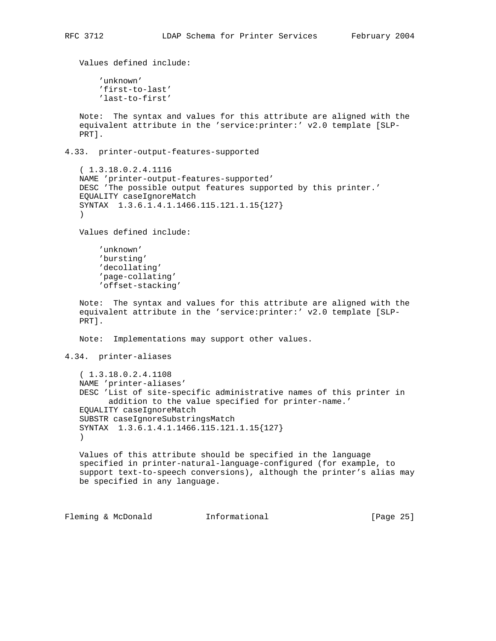```
 Values defined include:
        'unknown'
        'first-to-last'
        'last-to-first'
   Note: The syntax and values for this attribute are aligned with the
    equivalent attribute in the 'service:printer:' v2.0 template [SLP-
   PRT].
4.33. printer-output-features-supported
    ( 1.3.18.0.2.4.1116
   NAME 'printer-output-features-supported'
  DESC 'The possible output features supported by this printer.'
   EQUALITY caseIgnoreMatch
   SYNTAX 1.3.6.1.4.1.1466.115.121.1.15{127}
   \lambda Values defined include:
        'unknown'
        'bursting'
        'decollating'
        'page-collating'
        'offset-stacking'
   Note: The syntax and values for this attribute are aligned with the
    equivalent attribute in the 'service:printer:' v2.0 template [SLP-
    PRT].
   Note: Implementations may support other values.
4.34. printer-aliases
    ( 1.3.18.0.2.4.1108
   NAME 'printer-aliases'
   DESC 'List of site-specific administrative names of this printer in
          addition to the value specified for printer-name.'
    EQUALITY caseIgnoreMatch
    SUBSTR caseIgnoreSubstringsMatch
    SYNTAX 1.3.6.1.4.1.1466.115.121.1.15{127}
   \left( \right) Values of this attribute should be specified in the language
    specified in printer-natural-language-configured (for example, to
   support text-to-speech conversions), although the printer's alias may
   be specified in any language.
```
Fleming & McDonald **Informational** [Page 25]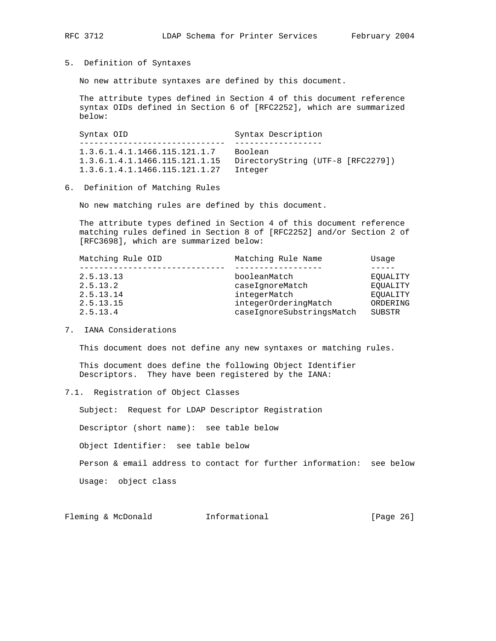5. Definition of Syntaxes

No new attribute syntaxes are defined by this document.

 The attribute types defined in Section 4 of this document reference syntax OIDs defined in Section 6 of [RFC2252], which are summarized below:

Syntax OID Syntax Description ------------------------------ ------------------ 1.3.6.1.4.1.1466.115.121.1.7 Boolean 1.3.6.1.4.1.1466.115.121.1.15 DirectoryString (UTF-8 [RFC2279]) 1.3.6.1.4.1.1466.115.121.1.27 Integer

6. Definition of Matching Rules

No new matching rules are defined by this document.

 The attribute types defined in Section 4 of this document reference matching rules defined in Section 8 of [RFC2252] and/or Section 2 of [RFC3698], which are summarized below:

| Matching Rule OID | Matching Rule Name        | Usage    |  |
|-------------------|---------------------------|----------|--|
|                   |                           |          |  |
| 2.5.13.13         | booleanMatch              | EOUALITY |  |
| 2.5.13.2          | caseIqnoreMatch           | EOUALITY |  |
| 2.5.13.14         | integerMatch              | EOUALITY |  |
| 2.5.13.15         | integerOrderingMatch      | ORDERING |  |
| 2.5.13.4          | caseIgnoreSubstringsMatch | SUBSTR   |  |
|                   |                           |          |  |

7. IANA Considerations

This document does not define any new syntaxes or matching rules.

 This document does define the following Object Identifier Descriptors. They have been registered by the IANA:

### 7.1. Registration of Object Classes

 Subject: Request for LDAP Descriptor Registration Descriptor (short name): see table below Object Identifier: see table below Person & email address to contact for further information: see below Usage: object class

Fleming & McDonald **Informational** [Page 26]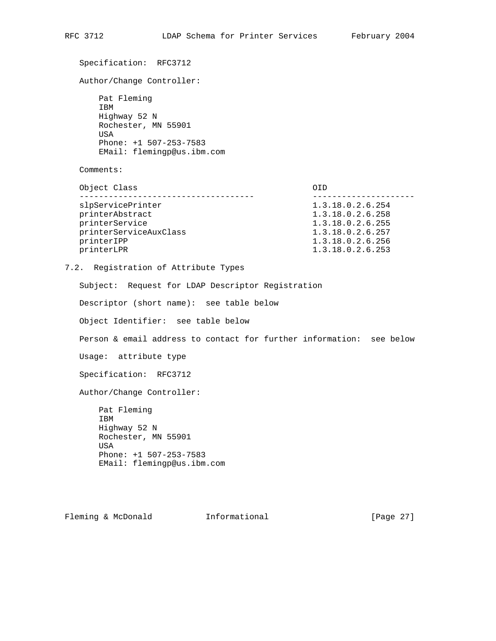Specification: RFC3712 Author/Change Controller: Pat Fleming IBM Highway 52 N Rochester, MN 55901 USA Phone: +1 507-253-7583 EMail: flemingp@us.ibm.com Comments: Object Class OID ------------------------------------ -------------------- slpServicePrinter 1.3.18.0.2.6.254 printerAbstract 1.3.18.0.2.6.258 printerService 1.3.18.0.2.6.255 printerServiceAuxClass 1.3.18.0.2.6.257 printerIPP 1.3.18.0.2.6.256 printerLPR 1.3.18.0.2.6.253 7.2. Registration of Attribute Types Subject: Request for LDAP Descriptor Registration Descriptor (short name): see table below Object Identifier: see table below Person & email address to contact for further information: see below Usage: attribute type Specification: RFC3712 Author/Change Controller: Pat Fleming IBM Highway 52 N Rochester, MN 55901 USA Phone: +1 507-253-7583 EMail: flemingp@us.ibm.com Fleming & McDonald **Informational** [Page 27]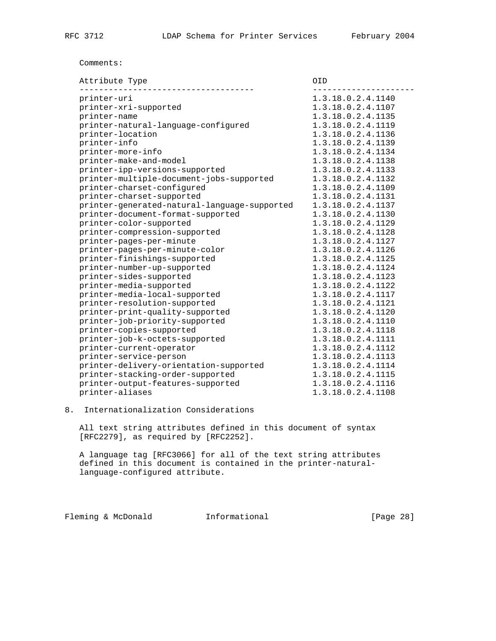## Comments:

| Attribute Type                               | OID.              |
|----------------------------------------------|-------------------|
| printer-uri                                  | 1.3.18.0.2.4.1140 |
| printer-xri-supported                        | 1.3.18.0.2.4.1107 |
| printer-name                                 | 1.3.18.0.2.4.1135 |
| printer-natural-language-configured          | 1.3.18.0.2.4.1119 |
| printer-location                             | 1.3.18.0.2.4.1136 |
| printer-info                                 | 1.3.18.0.2.4.1139 |
| printer-more-info                            | 1.3.18.0.2.4.1134 |
| printer-make-and-model                       | 1.3.18.0.2.4.1138 |
| printer-ipp-versions-supported               | 1.3.18.0.2.4.1133 |
| printer-multiple-document-jobs-supported     | 1.3.18.0.2.4.1132 |
| printer-charset-configured                   | 1.3.18.0.2.4.1109 |
| printer-charset-supported                    | 1.3.18.0.2.4.1131 |
| printer-generated-natural-language-supported | 1.3.18.0.2.4.1137 |
| printer-document-format-supported            | 1.3.18.0.2.4.1130 |
| printer-color-supported                      | 1.3.18.0.2.4.1129 |
| printer-compression-supported                | 1.3.18.0.2.4.1128 |
| printer-pages-per-minute                     | 1.3.18.0.2.4.1127 |
| printer-pages-per-minute-color               | 1.3.18.0.2.4.1126 |
| printer-finishings-supported                 | 1.3.18.0.2.4.1125 |
| printer-number-up-supported                  | 1.3.18.0.2.4.1124 |
| printer-sides-supported                      | 1.3.18.0.2.4.1123 |
| printer-media-supported                      | 1.3.18.0.2.4.1122 |
| printer-media-local-supported                | 1.3.18.0.2.4.1117 |
| printer-resolution-supported                 | 1.3.18.0.2.4.1121 |
| printer-print-quality-supported              | 1.3.18.0.2.4.1120 |
| printer-job-priority-supported               | 1.3.18.0.2.4.1110 |
| printer-copies-supported                     | 1.3.18.0.2.4.1118 |
| printer-job-k-octets-supported               | 1.3.18.0.2.4.1111 |
| printer-current-operator                     | 1.3.18.0.2.4.1112 |
| printer-service-person                       | 1.3.18.0.2.4.1113 |
| printer-delivery-orientation-supported       | 1.3.18.0.2.4.1114 |
| printer-stacking-order-supported             | 1.3.18.0.2.4.1115 |
| printer-output-features-supported            | 1.3.18.0.2.4.1116 |
| printer-aliases                              | 1.3.18.0.2.4.1108 |

# 8. Internationalization Considerations

 All text string attributes defined in this document of syntax [RFC2279], as required by [RFC2252].

 A language tag [RFC3066] for all of the text string attributes defined in this document is contained in the printer-natural language-configured attribute.

Fleming & McDonald Informational [Page 28]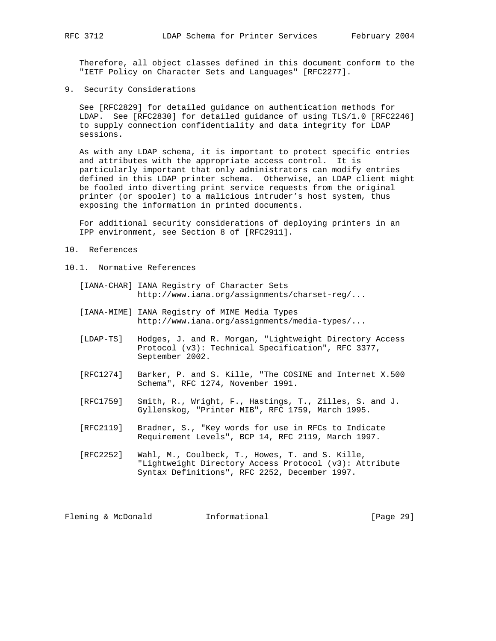Therefore, all object classes defined in this document conform to the "IETF Policy on Character Sets and Languages" [RFC2277].

9. Security Considerations

 See [RFC2829] for detailed guidance on authentication methods for LDAP. See [RFC2830] for detailed guidance of using TLS/1.0 [RFC2246] to supply connection confidentiality and data integrity for LDAP sessions.

 As with any LDAP schema, it is important to protect specific entries and attributes with the appropriate access control. It is particularly important that only administrators can modify entries defined in this LDAP printer schema. Otherwise, an LDAP client might be fooled into diverting print service requests from the original printer (or spooler) to a malicious intruder's host system, thus exposing the information in printed documents.

 For additional security considerations of deploying printers in an IPP environment, see Section 8 of [RFC2911].

- 10. References
- 10.1. Normative References
	- [IANA-CHAR] IANA Registry of Character Sets http://www.iana.org/assignments/charset-reg/...
	- [IANA-MIME] IANA Registry of MIME Media Types http://www.iana.org/assignments/media-types/...
	- [LDAP-TS] Hodges, J. and R. Morgan, "Lightweight Directory Access Protocol (v3): Technical Specification", RFC 3377, September 2002.
	- [RFC1274] Barker, P. and S. Kille, "The COSINE and Internet X.500 Schema", RFC 1274, November 1991.
	- [RFC1759] Smith, R., Wright, F., Hastings, T., Zilles, S. and J. Gyllenskog, "Printer MIB", RFC 1759, March 1995.
	- [RFC2119] Bradner, S., "Key words for use in RFCs to Indicate Requirement Levels", BCP 14, RFC 2119, March 1997.
	- [RFC2252] Wahl, M., Coulbeck, T., Howes, T. and S. Kille, "Lightweight Directory Access Protocol (v3): Attribute Syntax Definitions", RFC 2252, December 1997.

Fleming & McDonald **Informational** [Page 29]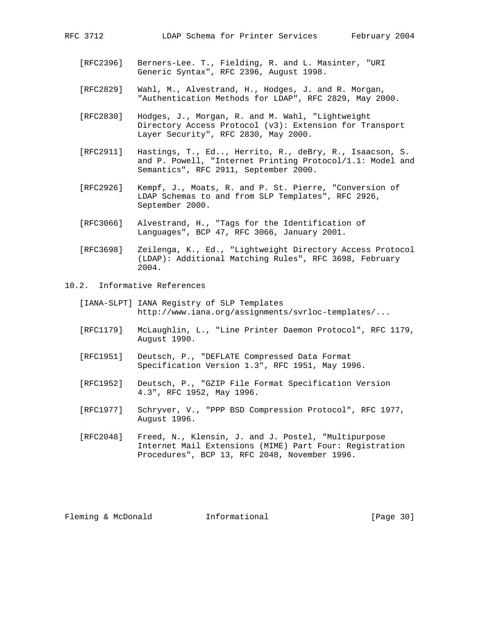- [RFC2396] Berners-Lee. T., Fielding, R. and L. Masinter, "URI Generic Syntax", RFC 2396, August 1998.
- [RFC2829] Wahl, M., Alvestrand, H., Hodges, J. and R. Morgan, "Authentication Methods for LDAP", RFC 2829, May 2000.
- [RFC2830] Hodges, J., Morgan, R. and M. Wahl, "Lightweight Directory Access Protocol (v3): Extension for Transport Layer Security", RFC 2830, May 2000.
- [RFC2911] Hastings, T., Ed.., Herrito, R., deBry, R., Isaacson, S. and P. Powell, "Internet Printing Protocol/1.1: Model and Semantics", RFC 2911, September 2000.
- [RFC2926] Kempf, J., Moats, R. and P. St. Pierre, "Conversion of LDAP Schemas to and from SLP Templates", RFC 2926, September 2000.
	- [RFC3066] Alvestrand, H., "Tags for the Identification of Languages", BCP 47, RFC 3066, January 2001.
	- [RFC3698] Zeilenga, K., Ed., "Lightweight Directory Access Protocol (LDAP): Additional Matching Rules", RFC 3698, February 2004.
- 10.2. Informative References
	- [IANA-SLPT] IANA Registry of SLP Templates http://www.iana.org/assignments/svrloc-templates/...
	- [RFC1179] McLaughlin, L., "Line Printer Daemon Protocol", RFC 1179, August 1990.
	- [RFC1951] Deutsch, P., "DEFLATE Compressed Data Format Specification Version 1.3", RFC 1951, May 1996.
	- [RFC1952] Deutsch, P., "GZIP File Format Specification Version 4.3", RFC 1952, May 1996.
	- [RFC1977] Schryver, V., "PPP BSD Compression Protocol", RFC 1977, August 1996.
	- [RFC2048] Freed, N., Klensin, J. and J. Postel, "Multipurpose Internet Mail Extensions (MIME) Part Four: Registration Procedures", BCP 13, RFC 2048, November 1996.

Fleming & McDonald **Informational** [Page 30]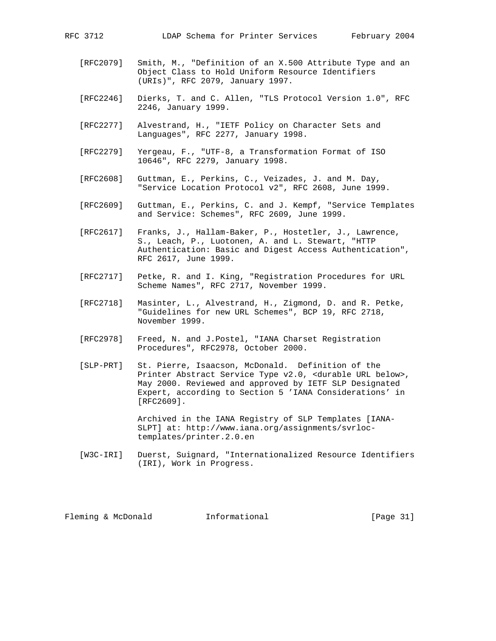- [RFC2079] Smith, M., "Definition of an X.500 Attribute Type and an Object Class to Hold Uniform Resource Identifiers (URIs)", RFC 2079, January 1997.
- [RFC2246] Dierks, T. and C. Allen, "TLS Protocol Version 1.0", RFC 2246, January 1999.
- [RFC2277] Alvestrand, H., "IETF Policy on Character Sets and Languages", RFC 2277, January 1998.
- [RFC2279] Yergeau, F., "UTF-8, a Transformation Format of ISO 10646", RFC 2279, January 1998.
- [RFC2608] Guttman, E., Perkins, C., Veizades, J. and M. Day, "Service Location Protocol v2", RFC 2608, June 1999.
- [RFC2609] Guttman, E., Perkins, C. and J. Kempf, "Service Templates and Service: Schemes", RFC 2609, June 1999.
- [RFC2617] Franks, J., Hallam-Baker, P., Hostetler, J., Lawrence, S., Leach, P., Luotonen, A. and L. Stewart, "HTTP Authentication: Basic and Digest Access Authentication", RFC 2617, June 1999.
- [RFC2717] Petke, R. and I. King, "Registration Procedures for URL Scheme Names", RFC 2717, November 1999.
- [RFC2718] Masinter, L., Alvestrand, H., Zigmond, D. and R. Petke, "Guidelines for new URL Schemes", BCP 19, RFC 2718, November 1999.
- [RFC2978] Freed, N. and J.Postel, "IANA Charset Registration Procedures", RFC2978, October 2000.
- [SLP-PRT] St. Pierre, Isaacson, McDonald. Definition of the Printer Abstract Service Type v2.0, <durable URL below>, May 2000. Reviewed and approved by IETF SLP Designated Expert, according to Section 5 'IANA Considerations' in [RFC2609].

 Archived in the IANA Registry of SLP Templates [IANA- SLPT] at: http://www.iana.org/assignments/svrloc templates/printer.2.0.en

 [W3C-IRI] Duerst, Suignard, "Internationalized Resource Identifiers (IRI), Work in Progress.

Fleming & McDonald **Informational** [Page 31]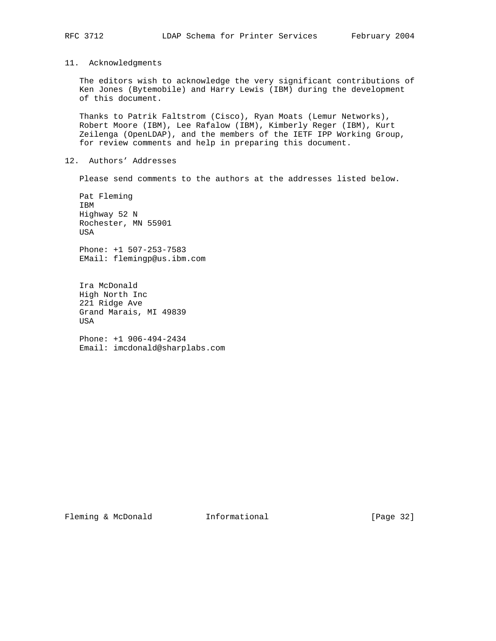## 11. Acknowledgments

 The editors wish to acknowledge the very significant contributions of Ken Jones (Bytemobile) and Harry Lewis (IBM) during the development of this document.

 Thanks to Patrik Faltstrom (Cisco), Ryan Moats (Lemur Networks), Robert Moore (IBM), Lee Rafalow (IBM), Kimberly Reger (IBM), Kurt Zeilenga (OpenLDAP), and the members of the IETF IPP Working Group, for review comments and help in preparing this document.

## 12. Authors' Addresses

Please send comments to the authors at the addresses listed below.

 Pat Fleming IBM Highway 52 N Rochester, MN 55901 USA

 Phone: +1 507-253-7583 EMail: flemingp@us.ibm.com

 Ira McDonald High North Inc 221 Ridge Ave Grand Marais, MI 49839 USA

 Phone: +1 906-494-2434 Email: imcdonald@sharplabs.com